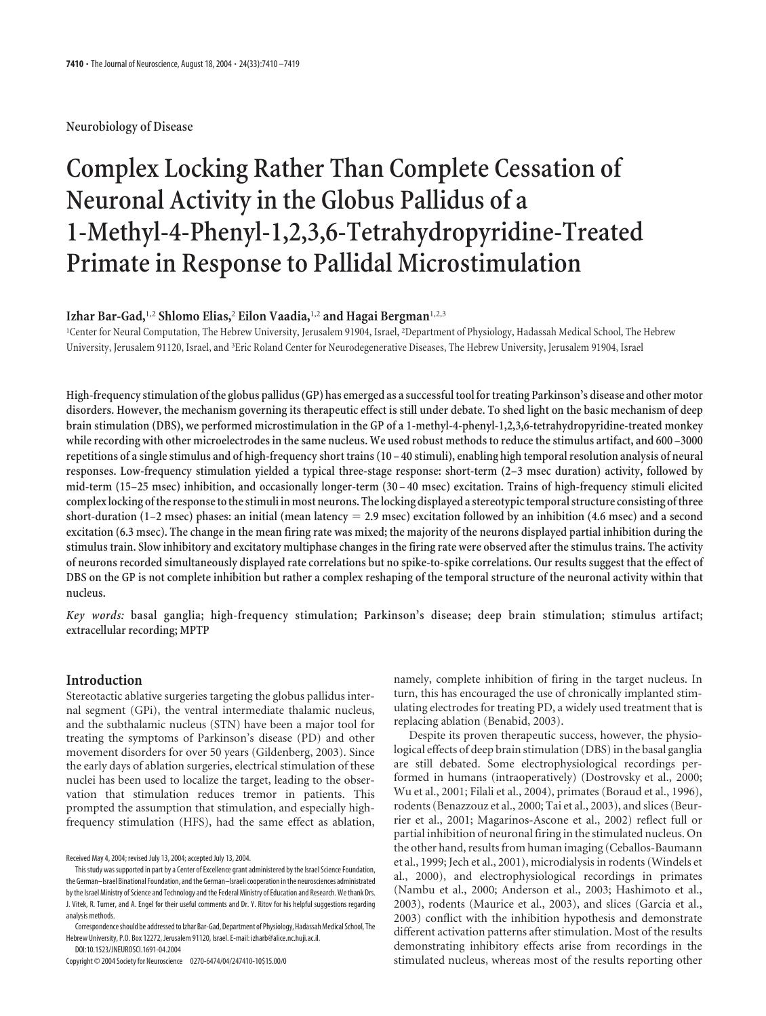**Neurobiology of Disease**

# **Complex Locking Rather Than Complete Cessation of Neuronal Activity in the Globus Pallidus of a 1-Methyl-4-Phenyl-1,2,3,6-Tetrahydropyridine-Treated Primate in Response to Pallidal Microstimulation**

# **Izhar Bar-Gad,**1,2 **Shlomo Elias,**<sup>2</sup> **Eilon Vaadia,**1,2 **and Hagai Bergman**1,2,3

<sup>1</sup>Center for Neural Computation, The Hebrew University, Jerusalem 91904, Israel, <sup>2</sup>Department of Physiology, Hadassah Medical School, The Hebrew University, Jerusalem 91120, Israel, and <sup>3</sup>Eric Roland Center for Neurodegenerative Diseases, The Hebrew University, Jerusalem 91904, Israel

**High-frequency stimulation of the globus pallidus (GP) has emerged as a successful tool for treating Parkinson's disease and other motor disorders. However, the mechanism governing its therapeutic effect is still under debate. To shed light on the basic mechanism of deep brain stimulation (DBS), we performed microstimulation in the GP of a 1-methyl-4-phenyl-1,2,3,6-tetrahydropyridine-treated monkey while recording with other microelectrodes in the same nucleus. We used robust methods to reduce the stimulus artifact, and 600 –3000 repetitions of a single stimulus and of high-frequency short trains (10 – 40 stimuli), enabling high temporal resolution analysis of neural responses. Low-frequency stimulation yielded a typical three-stage response: short-term (2–3 msec duration) activity, followed by mid-term (15–25 msec) inhibition, and occasionally longer-term (30 – 40 msec) excitation. Trains of high-frequency stimuli elicited complex locking of the response to the stimuli in most neurons. The locking displayed a stereotypic temporal structure consisting of three short-duration (1–2 msec) phases: an initial (mean latency 2.9 msec) excitation followed by an inhibition (4.6 msec) and a second excitation (6.3 msec). The change in the mean firing rate was mixed; the majority of the neurons displayed partial inhibition during the stimulus train. Slow inhibitory and excitatory multiphase changes in the firing rate were observed after the stimulus trains. The activity of neurons recorded simultaneously displayed rate correlations but no spike-to-spike correlations. Our results suggest that the effect of DBS on the GP is not complete inhibition but rather a complex reshaping of the temporal structure of the neuronal activity within that nucleus.**

*Key words:* **basal ganglia; high-frequency stimulation; Parkinson's disease; deep brain stimulation; stimulus artifact; extracellular recording; MPTP**

## **Introduction**

Stereotactic ablative surgeries targeting the globus pallidus internal segment (GPi), the ventral intermediate thalamic nucleus, and the subthalamic nucleus (STN) have been a major tool for treating the symptoms of Parkinson's disease (PD) and other movement disorders for over 50 years (Gildenberg, 2003). Since the early days of ablation surgeries, electrical stimulation of these nuclei has been used to localize the target, leading to the observation that stimulation reduces tremor in patients. This prompted the assumption that stimulation, and especially highfrequency stimulation (HFS), had the same effect as ablation,

DOI:10.1523/JNEUROSCI.1691-04.2004 Copyright © 2004 Society for Neuroscience 0270-6474/04/247410-10\$15.00/0 namely, complete inhibition of firing in the target nucleus. In turn, this has encouraged the use of chronically implanted stimulating electrodes for treating PD, a widely used treatment that is replacing ablation (Benabid, 2003).

Despite its proven therapeutic success, however, the physiological effects of deep brain stimulation (DBS) in the basal ganglia are still debated. Some electrophysiological recordings performed in humans (intraoperatively) (Dostrovsky et al., 2000; Wu et al., 2001; Filali et al., 2004), primates (Boraud et al., 1996), rodents (Benazzouz et al., 2000; Tai et al., 2003), and slices (Beurrier et al., 2001; Magarinos-Ascone et al., 2002) reflect full or partial inhibition of neuronal firing in the stimulated nucleus. On the other hand, results from human imaging (Ceballos-Baumann et al., 1999; Jech et al., 2001), microdialysis in rodents (Windels et al., 2000), and electrophysiological recordings in primates (Nambu et al., 2000; Anderson et al., 2003; Hashimoto et al., 2003), rodents (Maurice et al., 2003), and slices (Garcia et al., 2003) conflict with the inhibition hypothesis and demonstrate different activation patterns after stimulation. Most of the results demonstrating inhibitory effects arise from recordings in the stimulated nucleus, whereas most of the results reporting other

Received May 4, 2004; revised July 13, 2004; accepted July 13, 2004.

This study was supported in part by a Center of Excellence grant administered by the Israel Science Foundation, the German–Israel Binational Foundation, and the German–Israeli cooperation in the neurosciences administrated by the Israel Ministry of Science and Technology and the Federal Ministry of Education and Research. We thank Drs. J. Vitek, R. Turner, and A. Engel for their useful comments and Dr. Y. Ritov for his helpful suggestions regarding analysis methods.

Correspondence should be addressed to Izhar Bar-Gad, Department of Physiology, Hadassah Medical School, The Hebrew University, P.O. Box 12272, Jerusalem 91120, Israel. E-mail: izharb@alice.nc.huji.ac.il.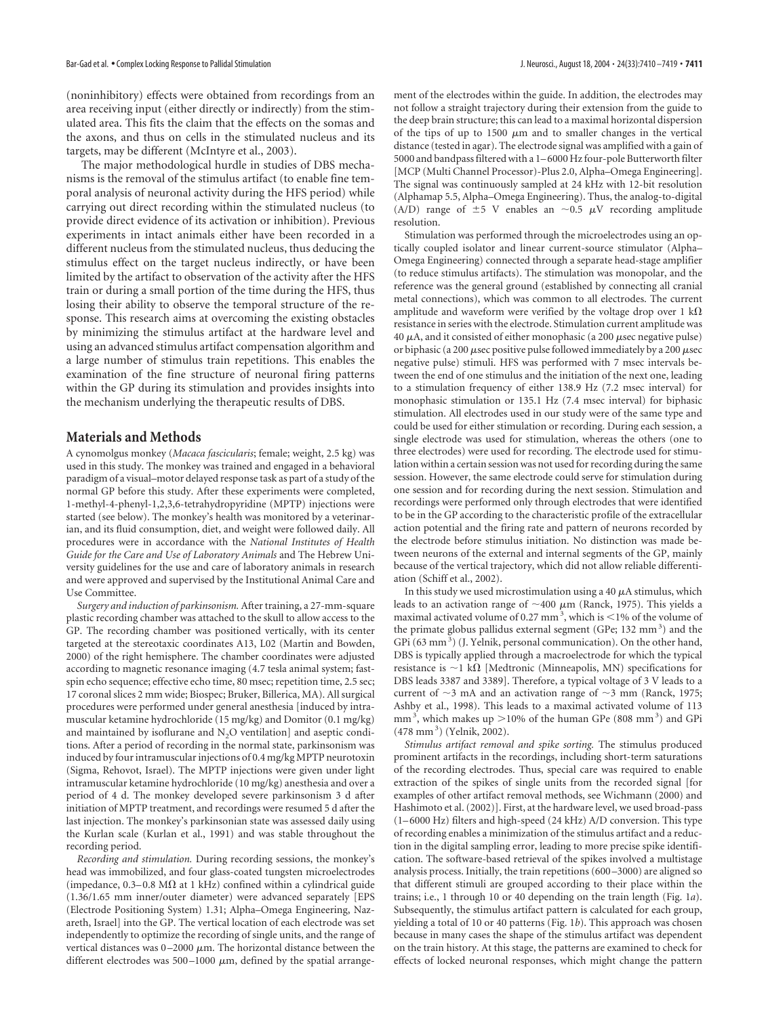(noninhibitory) effects were obtained from recordings from an area receiving input (either directly or indirectly) from the stimulated area. This fits the claim that the effects on the somas and the axons, and thus on cells in the stimulated nucleus and its targets, may be different (McIntyre et al., 2003).

The major methodological hurdle in studies of DBS mechanisms is the removal of the stimulus artifact (to enable fine temporal analysis of neuronal activity during the HFS period) while carrying out direct recording within the stimulated nucleus (to provide direct evidence of its activation or inhibition). Previous experiments in intact animals either have been recorded in a different nucleus from the stimulated nucleus, thus deducing the stimulus effect on the target nucleus indirectly, or have been limited by the artifact to observation of the activity after the HFS train or during a small portion of the time during the HFS, thus losing their ability to observe the temporal structure of the response. This research aims at overcoming the existing obstacles by minimizing the stimulus artifact at the hardware level and using an advanced stimulus artifact compensation algorithm and a large number of stimulus train repetitions. This enables the examination of the fine structure of neuronal firing patterns within the GP during its stimulation and provides insights into the mechanism underlying the therapeutic results of DBS.

#### **Materials and Methods**

A cynomolgus monkey (*Macaca fascicularis*; female; weight, 2.5 kg) was used in this study. The monkey was trained and engaged in a behavioral paradigm of a visual–motor delayed response task as part of a study of the normal GP before this study. After these experiments were completed, 1-methyl-4-phenyl-1,2,3,6-tetrahydropyridine (MPTP) injections were started (see below). The monkey's health was monitored by a veterinarian, and its fluid consumption, diet, and weight were followed daily. All procedures were in accordance with the *National Institutes of Health Guide for the Care and Use of Laboratory Animals* and The Hebrew University guidelines for the use and care of laboratory animals in research and were approved and supervised by the Institutional Animal Care and Use Committee.

*Surgery and induction of parkinsonism.* After training, a 27-mm-square plastic recording chamber was attached to the skull to allow access to the GP. The recording chamber was positioned vertically, with its center targeted at the stereotaxic coordinates A13, L02 (Martin and Bowden, 2000) of the right hemisphere. The chamber coordinates were adjusted according to magnetic resonance imaging (4.7 tesla animal system; fastspin echo sequence; effective echo time, 80 msec; repetition time, 2.5 sec; 17 coronal slices 2 mm wide; Biospec; Bruker, Billerica, MA). All surgical procedures were performed under general anesthesia [induced by intramuscular ketamine hydrochloride (15 mg/kg) and Domitor (0.1 mg/kg) and maintained by isoflurane and  $N<sub>2</sub>O$  ventilation] and aseptic conditions. After a period of recording in the normal state, parkinsonism was induced by four intramuscular injections of 0.4 mg/kg MPTP neurotoxin (Sigma, Rehovot, Israel). The MPTP injections were given under light intramuscular ketamine hydrochloride (10 mg/kg) anesthesia and over a period of 4 d. The monkey developed severe parkinsonism 3 d after initiation of MPTP treatment, and recordings were resumed 5 d after the last injection. The monkey's parkinsonian state was assessed daily using the Kurlan scale (Kurlan et al., 1991) and was stable throughout the recording period.

*Recording and stimulation.* During recording sessions, the monkey's head was immobilized, and four glass-coated tungsten microelectrodes (impedance, 0.3–0.8 M $\Omega$  at 1 kHz) confined within a cylindrical guide (1.36/1.65 mm inner/outer diameter) were advanced separately [EPS (Electrode Positioning System) 1.31; Alpha–Omega Engineering, Nazareth, Israel] into the GP. The vertical location of each electrode was set independently to optimize the recording of single units, and the range of vertical distances was  $0-2000 \mu m$ . The horizontal distance between the different electrodes was 500–1000  $\mu$ m, defined by the spatial arrangement of the electrodes within the guide. In addition, the electrodes may not follow a straight trajectory during their extension from the guide to the deep brain structure; this can lead to a maximal horizontal dispersion of the tips of up to 1500  $\mu$ m and to smaller changes in the vertical distance (tested in agar). The electrode signal was amplified with a gain of 5000 and bandpass filtered with a 1–6000 Hz four-pole Butterworth filter [MCP (Multi Channel Processor)-Plus 2.0, Alpha–Omega Engineering]. The signal was continuously sampled at 24 kHz with 12-bit resolution (Alphamap 5.5, Alpha–Omega Engineering). Thus, the analog-to-digital (A/D) range of  $\pm 5$  V enables an  $\sim 0.5$   $\mu$ V recording amplitude resolution.

Stimulation was performed through the microelectrodes using an optically coupled isolator and linear current-source stimulator (Alpha– Omega Engineering) connected through a separate head-stage amplifier (to reduce stimulus artifacts). The stimulation was monopolar, and the reference was the general ground (established by connecting all cranial metal connections), which was common to all electrodes. The current amplitude and waveform were verified by the voltage drop over 1 k $\Omega$ resistance in series with the electrode. Stimulation current amplitude was 40  $\mu$ A, and it consisted of either monophasic (a 200  $\mu$ sec negative pulse) or biphasic (a 200  $\mu$ sec positive pulse followed immediately by a 200  $\mu$ sec negative pulse) stimuli. HFS was performed with 7 msec intervals between the end of one stimulus and the initiation of the next one, leading to a stimulation frequency of either 138.9 Hz (7.2 msec interval) for monophasic stimulation or 135.1 Hz (7.4 msec interval) for biphasic stimulation. All electrodes used in our study were of the same type and could be used for either stimulation or recording. During each session, a single electrode was used for stimulation, whereas the others (one to three electrodes) were used for recording. The electrode used for stimulation within a certain session was not used for recording during the same session. However, the same electrode could serve for stimulation during one session and for recording during the next session. Stimulation and recordings were performed only through electrodes that were identified to be in the GP according to the characteristic profile of the extracellular action potential and the firing rate and pattern of neurons recorded by the electrode before stimulus initiation. No distinction was made between neurons of the external and internal segments of the GP, mainly because of the vertical trajectory, which did not allow reliable differentiation (Schiff et al., 2002).

In this study we used microstimulation using a 40  $\mu$ A stimulus, which leads to an activation range of  $\sim$  400  $\mu$ m (Ranck, 1975). This yields a maximal activated volume of 0.27 mm<sup>3</sup>, which is <1% of the volume of the primate globus pallidus external segment (GPe; 132 mm<sup>3</sup>) and the GPi (63 mm<sup>3</sup>) (J. Yelnik, personal communication). On the other hand, DBS is typically applied through a macroelectrode for which the typical resistance is  $\sim$ 1 k $\Omega$  [Medtronic (Minneapolis, MN) specifications for DBS leads 3387 and 3389]. Therefore, a typical voltage of 3 V leads to a current of  $\sim$ 3 mA and an activation range of  $\sim$ 3 mm (Ranck, 1975; Ashby et al., 1998). This leads to a maximal activated volume of 113 mm<sup>3</sup>, which makes up  $>$ 10% of the human GPe (808 mm<sup>3</sup>) and GPi (478 mm<sup>3</sup>) (Yelnik, 2002).

*Stimulus artifact removal and spike sorting.* The stimulus produced prominent artifacts in the recordings, including short-term saturations of the recording electrodes. Thus, special care was required to enable extraction of the spikes of single units from the recorded signal [for examples of other artifact removal methods, see Wichmann (2000) and Hashimoto et al. (2002)]. First, at the hardware level, we used broad-pass (1–6000 Hz) filters and high-speed (24 kHz) A/D conversion. This type of recording enables a minimization of the stimulus artifact and a reduction in the digital sampling error, leading to more precise spike identification. The software-based retrieval of the spikes involved a multistage analysis process. Initially, the train repetitions (600–3000) are aligned so that different stimuli are grouped according to their place within the trains; i.e., 1 through 10 or 40 depending on the train length (Fig. 1*a*). Subsequently, the stimulus artifact pattern is calculated for each group, yielding a total of 10 or 40 patterns (Fig. 1*b*). This approach was chosen because in many cases the shape of the stimulus artifact was dependent on the train history. At this stage, the patterns are examined to check for effects of locked neuronal responses, which might change the pattern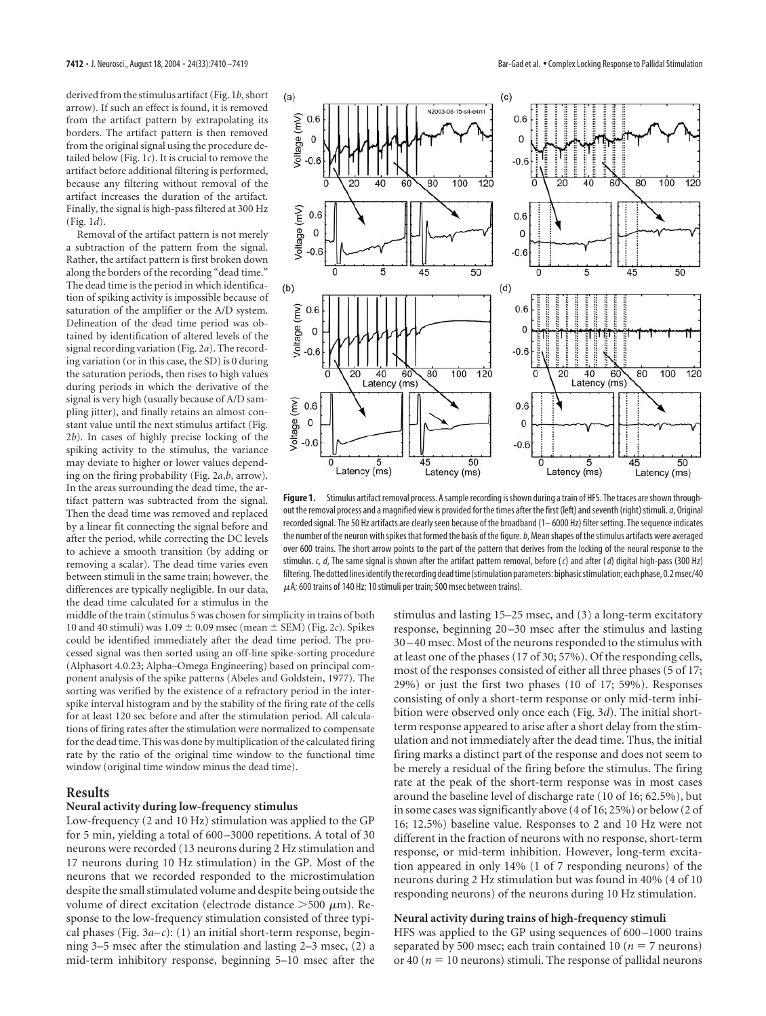derived from the stimulus artifact (Fig. 1*b*, short arrow). If such an effect is found, it is removed from the artifact pattern by extrapolating its borders. The artifact pattern is then removed from the original signal using the procedure detailed below (Fig. 1*c*). It is crucial to remove the artifact before additional filtering is performed, because any filtering without removal of the artifact increases the duration of the artifact. Finally, the signal is high-pass filtered at 300 Hz (Fig. 1*d*).

Removal of the artifact pattern is not merely a subtraction of the pattern from the signal. Rather, the artifact pattern is first broken down along the borders of the recording "dead time." The dead time is the period in which identification of spiking activity is impossible because of saturation of the amplifier or the A/D system. Delineation of the dead time period was obtained by identification of altered levels of the signal recording variation (Fig. 2*a*). The recording variation (or in this case, the SD) is 0 during the saturation periods, then rises to high values during periods in which the derivative of the signal is very high (usually because of A/D sampling jitter), and finally retains an almost constant value until the next stimulus artifact (Fig. 2*b*). In cases of highly precise locking of the spiking activity to the stimulus, the variance may deviate to higher or lower values depending on the firing probability (Fig. 2*a*,*b*, arrow). In the areas surrounding the dead time, the artifact pattern was subtracted from the signal. Then the dead time was removed and replaced by a linear fit connecting the signal before and after the period, while correcting the DC levels to achieve a smooth transition (by adding or removing a scalar). The dead time varies even between stimuli in the same train; however, the differences are typically negligible. In our data, the dead time calculated for a stimulus in the

middle of the train (stimulus 5 was chosen for simplicity in trains of both 10 and 40 stimuli) was  $1.09 \pm 0.09$  msec (mean  $\pm$  SEM) (Fig. 2*c*). Spikes could be identified immediately after the dead time period. The processed signal was then sorted using an off-line spike-sorting procedure (Alphasort 4.0.23; Alpha–Omega Engineering) based on principal component analysis of the spike patterns (Abeles and Goldstein, 1977). The sorting was verified by the existence of a refractory period in the interspike interval histogram and by the stability of the firing rate of the cells for at least 120 sec before and after the stimulation period. All calculations of firing rates after the stimulation were normalized to compensate for the dead time. This was done by multiplication of the calculated firing rate by the ratio of the original time window to the functional time window (original time window minus the dead time).

## **Results**

## **Neural activity during low-frequency stimulus**

Low-frequency (2 and 10 Hz) stimulation was applied to the GP for 5 min, yielding a total of 600–3000 repetitions. A total of 30 neurons were recorded (13 neurons during 2 Hz stimulation and 17 neurons during 10 Hz stimulation) in the GP. Most of the neurons that we recorded responded to the microstimulation despite the small stimulated volume and despite being outside the volume of direct excitation (electrode distance  $>500 \mu m$ ). Response to the low-frequency stimulation consisted of three typical phases (Fig.  $3a-c$ ): (1) an initial short-term response, beginning 3–5 msec after the stimulation and lasting 2–3 msec, (2) a mid-term inhibitory response, beginning 5–10 msec after the



**Figure 1.** Stimulus artifact removal process. A sample recording is shown during a train of HFS. The traces are shown throughout the removal process and a magnified view is provided for the times after the first (left) and seventh (right) stimuli.*a*, Original recorded signal. The 50 Hz artifacts are clearly seen because of the broadband (1– 6000 Hz) filter setting. The sequence indicates the number of the neuron with spikes that formed the basis of the figure.*b*, Mean shapes of the stimulus artifacts were averaged over 600 trains. The short arrow points to the part of the pattern that derives from the locking of the neural response to the stimulus. *c, d*, The same signal is shown after the artifact pattern removal, before (*c*) and after (*d*) digital high-pass (300 Hz) filtering. The dotted lines identify the recording dead time (stimulation parameters: biphasic stimulation; each phase, 0.2 msec/40  $\mu$ A; 600 trains of 140 Hz; 10 stimuli per train; 500 msec between trains).

stimulus and lasting 15–25 msec, and (3) a long-term excitatory response, beginning 20–30 msec after the stimulus and lasting 30–40 msec. Most of the neurons responded to the stimulus with at least one of the phases (17 of 30; 57%). Of the responding cells, most of the responses consisted of either all three phases (5 of 17; 29%) or just the first two phases (10 of 17; 59%). Responses consisting of only a short-term response or only mid-term inhibition were observed only once each (Fig. 3*d*). The initial shortterm response appeared to arise after a short delay from the stimulation and not immediately after the dead time. Thus, the initial firing marks a distinct part of the response and does not seem to be merely a residual of the firing before the stimulus. The firing rate at the peak of the short-term response was in most cases around the baseline level of discharge rate (10 of 16; 62.5%), but in some cases was significantly above (4 of 16; 25%) or below (2 of 16; 12.5%) baseline value. Responses to 2 and 10 Hz were not different in the fraction of neurons with no response, short-term response, or mid-term inhibition. However, long-term excitation appeared in only 14% (1 of 7 responding neurons) of the neurons during 2 Hz stimulation but was found in 40% (4 of 10 responding neurons) of the neurons during 10 Hz stimulation.

#### **Neural activity during trains of high-frequency stimuli**

HFS was applied to the GP using sequences of 600–1000 trains separated by 500 msec; each train contained 10 ( $n = 7$  neurons) or 40 ( $n = 10$  neurons) stimuli. The response of pallidal neurons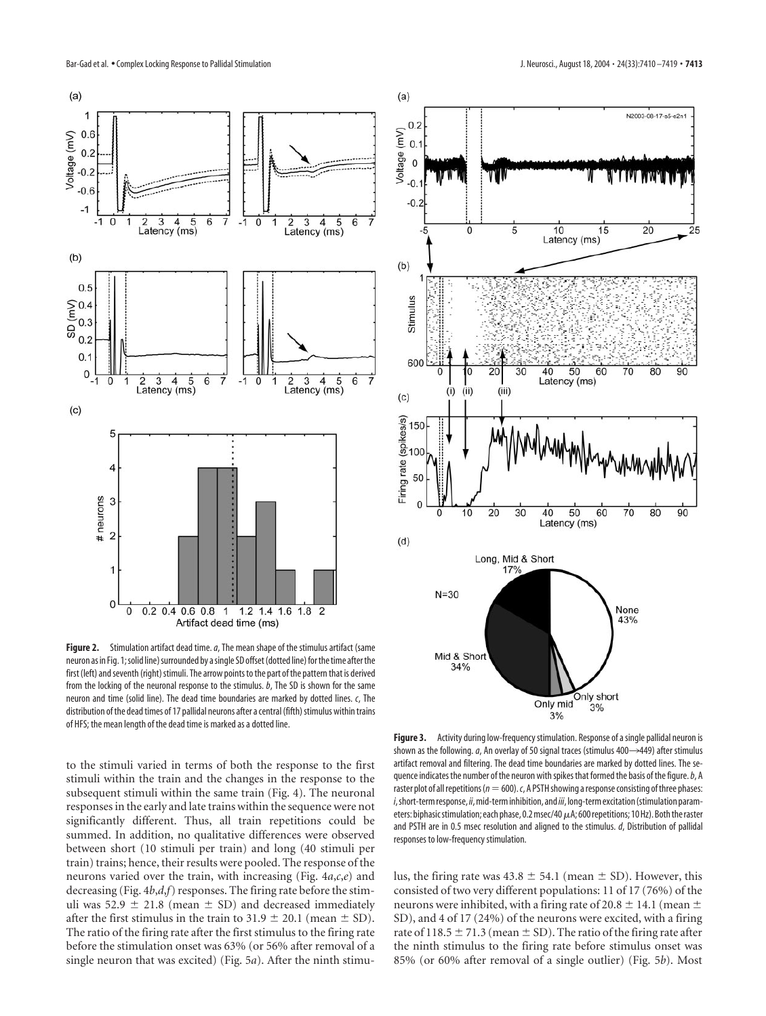

**Figure 2.** Stimulation artifact dead time.*a*, The mean shape of the stimulus artifact (same neuron as in Fig. 1; solid line) surrounded by a single SD offset (dotted line) for the time after the first (left) and seventh (right) stimuli. The arrow points to the part of the pattern that is derived from the locking of the neuronal response to the stimulus. *b*, The SD is shown for the same neuron and time (solid line). The dead time boundaries are marked by dotted lines. *c*, The distribution of the dead times of 17 pallidal neurons after a central (fifth) stimulus within trains of HFS; the mean length of the dead time is marked as a dotted line.

to the stimuli varied in terms of both the response to the first stimuli within the train and the changes in the response to the subsequent stimuli within the same train (Fig. 4). The neuronal responses in the early and late trains within the sequence were not significantly different. Thus, all train repetitions could be summed. In addition, no qualitative differences were observed between short (10 stimuli per train) and long (40 stimuli per train) trains; hence, their results were pooled. The response of the neurons varied over the train, with increasing (Fig. 4*a*,*c*,*e*) and decreasing (Fig. 4*b*,*d*,*f*) responses. The firing rate before the stimuli was 52.9  $\pm$  21.8 (mean  $\pm$  SD) and decreased immediately after the first stimulus in the train to  $31.9 \pm 20.1$  (mean  $\pm$  SD). The ratio of the firing rate after the first stimulus to the firing rate before the stimulation onset was 63% (or 56% after removal of a single neuron that was excited) (Fig. 5*a*). After the ninth stimu-



**Figure 3.** Activity during low-frequency stimulation. Response of a single pallidal neuron is shown as the following. *a*, An overlay of 50 signal traces (stimulus 400->449) after stimulus artifact removal and filtering. The dead time boundaries are marked by dotted lines. The sequence indicates the number of the neuron with spikes that formed the basis of the figure.*b*, A raster plot of all repetitions ( $n=600$ ).  $c$ , A PSTH showing a response consisting of three phases: *i*, short-term response, *ii*, mid-term inhibition, and*iii*, long-term excitation (stimulation parameters: biphasic stimulation; each phase, 0.2 msec/40  $\mu$ A; 600 repetitions; 10 Hz). Both the raster and PSTH are in 0.5 msec resolution and aligned to the stimulus. *d*, Distribution of pallidal responses to low-frequency stimulation.

lus, the firing rate was  $43.8 \pm 54.1$  (mean  $\pm$  SD). However, this consisted of two very different populations: 11 of 17 (76%) of the neurons were inhibited, with a firing rate of 20.8  $\pm$  14.1 (mean  $\pm$ SD), and 4 of 17 (24%) of the neurons were excited, with a firing rate of 118.5  $\pm$  71.3 (mean  $\pm$  SD). The ratio of the firing rate after the ninth stimulus to the firing rate before stimulus onset was 85% (or 60% after removal of a single outlier) (Fig. 5*b*). Most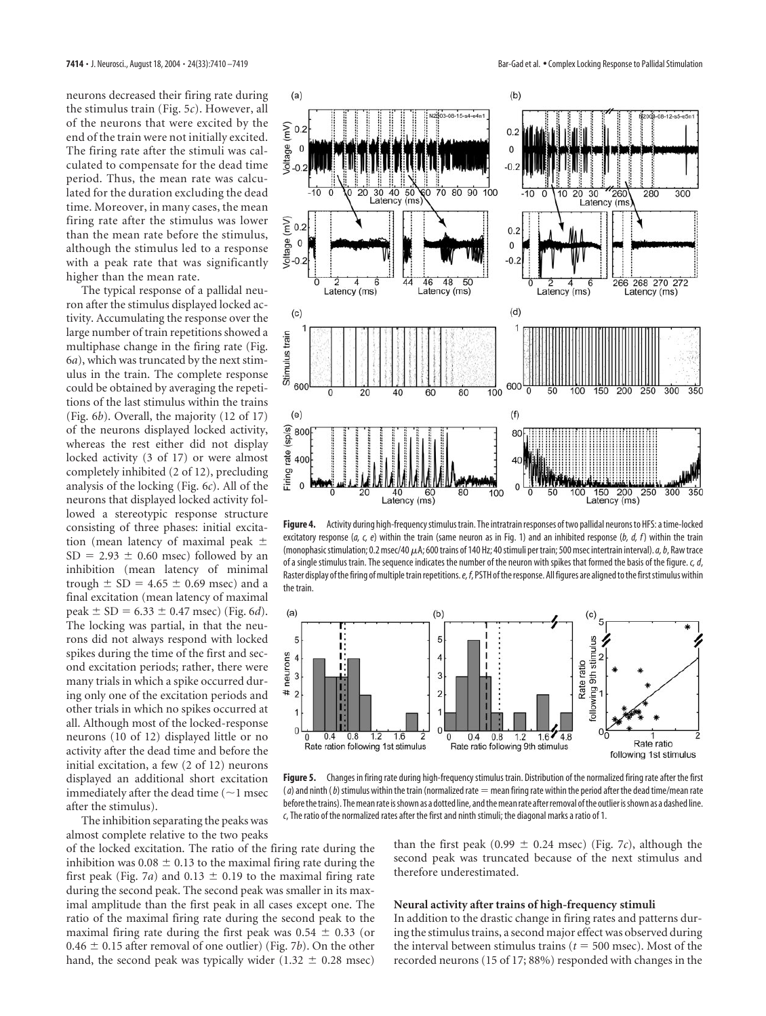neurons decreased their firing rate during the stimulus train (Fig. 5*c*). However, all of the neurons that were excited by the end of the train were not initially excited. The firing rate after the stimuli was calculated to compensate for the dead time period. Thus, the mean rate was calculated for the duration excluding the dead time. Moreover, in many cases, the mean firing rate after the stimulus was lower than the mean rate before the stimulus, although the stimulus led to a response with a peak rate that was significantly higher than the mean rate.

The typical response of a pallidal neuron after the stimulus displayed locked activity. Accumulating the response over the large number of train repetitions showed a multiphase change in the firing rate (Fig. 6*a*), which was truncated by the next stimulus in the train. The complete response could be obtained by averaging the repetitions of the last stimulus within the trains (Fig. 6*b*). Overall, the majority (12 of 17) of the neurons displayed locked activity, whereas the rest either did not display locked activity (3 of 17) or were almost completely inhibited (2 of 12), precluding analysis of the locking (Fig. 6*c*). All of the neurons that displayed locked activity followed a stereotypic response structure consisting of three phases: initial excitation (mean latency of maximal peak  $SD = 2.93 \pm 0.60$  msec) followed by an inhibition (mean latency of minimal trough  $\pm$  SD = 4.65  $\pm$  0.69 msec) and a final excitation (mean latency of maximal peak  $\pm$  SD = 6.33  $\pm$  0.47 msec) (Fig. 6*d*). The locking was partial, in that the neurons did not always respond with locked spikes during the time of the first and second excitation periods; rather, there were many trials in which a spike occurred during only one of the excitation periods and other trials in which no spikes occurred at all. Although most of the locked-response neurons (10 of 12) displayed little or no activity after the dead time and before the initial excitation, a few (2 of 12) neurons displayed an additional short excitation immediately after the dead time  $(1$  msec after the stimulus).



**Figure 4.** Activity during high-frequency stimulus train. The intratrain responses of two pallidal neurons to HFS: a time-locked excitatory response (*a, c, e*) within the train (same neuron as in Fig. 1) and an inhibited response (*b, d, f*) within the train (monophasic stimulation; 0.2 msec/40  $\mu$ A; 600 trains of 140 Hz; 40 stimuli per train; 500 msec intertrain interval). *a*, *b*, Raw trace of a single stimulus train. The sequence indicates the number of the neuron with spikes that formed the basis of the figure. *c, d*, Raster display of the firing of multiple train repetitions.*e, f*, PSTH of the response. All figures are aligned to the first stimulus within the train.



**Figure 5.** Changes in firing rate during high-frequency stimulus train. Distribution of the normalized firing rate after the first  $(a)$  and ninth  $(b)$  stimulus within the train (normalized rate  $=$  mean firing rate within the period after the dead time/mean rate before the trains). The mean rate is shown as a dotted line, and the mean rate after removal of the outlier is shown as a dashed line. *c*, The ratio of the normalized rates after the first and ninth stimuli; the diagonal marks a ratio of 1.

The inhibition separating the peaks was almost complete relative to the two peaks

of the locked excitation. The ratio of the firing rate during the inhibition was  $0.08 \pm 0.13$  to the maximal firing rate during the first peak (Fig. 7*a*) and 0.13  $\pm$  0.19 to the maximal firing rate during the second peak. The second peak was smaller in its maximal amplitude than the first peak in all cases except one. The ratio of the maximal firing rate during the second peak to the maximal firing rate during the first peak was  $0.54 \pm 0.33$  (or  $0.46 \pm 0.15$  after removal of one outlier) (Fig. 7*b*). On the other hand, the second peak was typically wider (1.32  $\pm$  0.28 msec)

than the first peak (0.99  $\pm$  0.24 msec) (Fig. 7*c*), although the second peak was truncated because of the next stimulus and therefore underestimated.

## **Neural activity after trains of high-frequency stimuli**

In addition to the drastic change in firing rates and patterns during the stimulus trains, a second major effect was observed during the interval between stimulus trains ( $t = 500$  msec). Most of the recorded neurons (15 of 17; 88%) responded with changes in the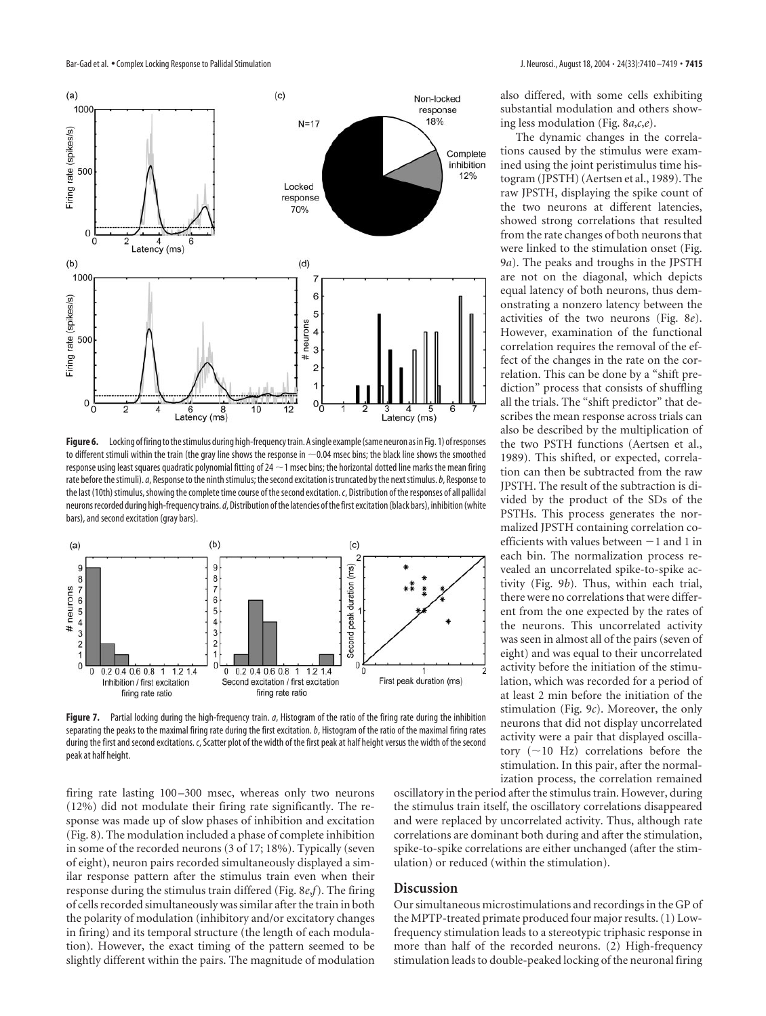

**Figure 6.** Locking of firing to the stimulus during high-frequency train. A single example (same neuron as in Fig. 1) of responses to different stimuli within the train (the gray line shows the response in  $\sim$  0.04 msec bins; the black line shows the smoothed response using least squares quadratic polynomial fitting of 24  $\sim$  1 msec bins; the horizontal dotted line marks the mean firing rate before the stimuli).*a*, Response to the ninth stimulus; the second excitation is truncated by the next stimulus.*b*, Response to the last (10th) stimulus, showing the complete time course of the second excitation.*c*, Distribution of the responses of all pallidal neurons recorded during high-frequency trains.*d*, Distribution of the latencies of the first excitation (black bars), inhibition (white bars), and second excitation (gray bars).



**Figure 7.** Partial locking during the high-frequency train. *a*, Histogram of the ratio of the firing rate during the inhibition separating the peaks to the maximal firing rate during the first excitation.*b*, Histogram of the ratio of the maximal firing rates during the first and second excitations. *c*, Scatter plot of the width of the first peak at half height versus the width of the second peak at half height.

firing rate lasting 100–300 msec, whereas only two neurons (12%) did not modulate their firing rate significantly. The response was made up of slow phases of inhibition and excitation (Fig. 8). The modulation included a phase of complete inhibition in some of the recorded neurons (3 of 17; 18%). Typically (seven of eight), neuron pairs recorded simultaneously displayed a similar response pattern after the stimulus train even when their response during the stimulus train differed (Fig. 8*e*,*f*). The firing of cells recorded simultaneously was similar after the train in both the polarity of modulation (inhibitory and/or excitatory changes in firing) and its temporal structure (the length of each modulation). However, the exact timing of the pattern seemed to be slightly different within the pairs. The magnitude of modulation

oscillatory in the period after the stimulus train. However, during the stimulus train itself, the oscillatory correlations disappeared and were replaced by uncorrelated activity. Thus, although rate correlations are dominant both during and after the stimulation, spike-to-spike correlations are either unchanged (after the stimulation) or reduced (within the stimulation).

## **Discussion**

Our simultaneous microstimulations and recordings in the GP of the MPTP-treated primate produced four major results. (1) Lowfrequency stimulation leads to a stereotypic triphasic response in more than half of the recorded neurons. (2) High-frequency stimulation leads to double-peaked locking of the neuronal firing

also differed, with some cells exhibiting substantial modulation and others showing less modulation (Fig. 8*a*,*c*,*e*).

The dynamic changes in the correlations caused by the stimulus were examined using the joint peristimulus time histogram (JPSTH) (Aertsen et al., 1989). The raw JPSTH, displaying the spike count of the two neurons at different latencies, showed strong correlations that resulted from the rate changes of both neurons that were linked to the stimulation onset (Fig. 9*a*). The peaks and troughs in the JPSTH are not on the diagonal, which depicts equal latency of both neurons, thus demonstrating a nonzero latency between the activities of the two neurons (Fig. 8*e*). However, examination of the functional correlation requires the removal of the effect of the changes in the rate on the correlation. This can be done by a "shift prediction" process that consists of shuffling all the trials. The "shift predictor" that describes the mean response across trials can also be described by the multiplication of the two PSTH functions (Aertsen et al., 1989). This shifted, or expected, correlation can then be subtracted from the raw JPSTH. The result of the subtraction is divided by the product of the SDs of the PSTHs. This process generates the normalized JPSTH containing correlation coefficients with values between  $-1$  and 1 in each bin. The normalization process revealed an uncorrelated spike-to-spike activity (Fig. 9*b*). Thus, within each trial, there were no correlations that were different from the one expected by the rates of the neurons. This uncorrelated activity was seen in almost all of the pairs (seven of eight) and was equal to their uncorrelated activity before the initiation of the stimulation, which was recorded for a period of at least 2 min before the initiation of the stimulation (Fig. 9*c*). Moreover, the only neurons that did not display uncorrelated activity were a pair that displayed oscillatory  $(\sim 10$  Hz) correlations before the stimulation. In this pair, after the normalization process, the correlation remained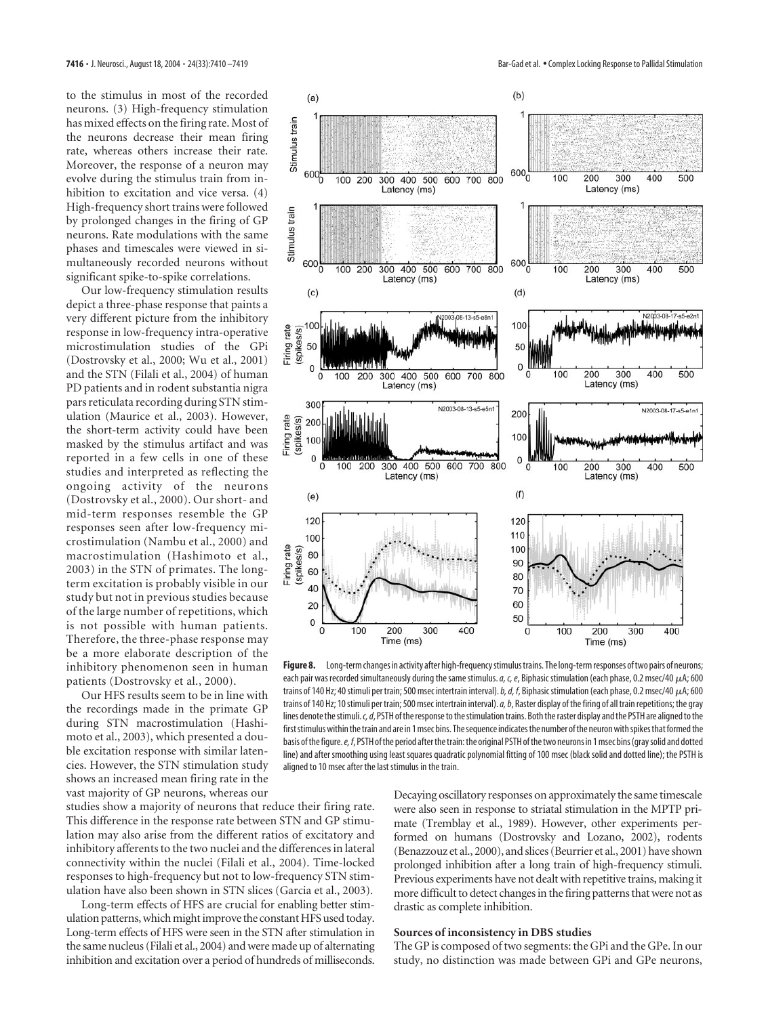to the stimulus in most of the recorded neurons. (3) High-frequency stimulation has mixed effects on the firing rate. Most of the neurons decrease their mean firing rate, whereas others increase their rate. Moreover, the response of a neuron may evolve during the stimulus train from inhibition to excitation and vice versa. (4) High-frequency short trains were followed by prolonged changes in the firing of GP neurons. Rate modulations with the same phases and timescales were viewed in simultaneously recorded neurons without significant spike-to-spike correlations.

Our low-frequency stimulation results depict a three-phase response that paints a very different picture from the inhibitory response in low-frequency intra-operative microstimulation studies of the GPi (Dostrovsky et al., 2000; Wu et al., 2001) and the STN (Filali et al., 2004) of human PD patients and in rodent substantia nigra pars reticulata recording during STN stimulation (Maurice et al., 2003). However, the short-term activity could have been masked by the stimulus artifact and was reported in a few cells in one of these studies and interpreted as reflecting the ongoing activity of the neurons (Dostrovsky et al., 2000). Our short- and mid-term responses resemble the GP responses seen after low-frequency microstimulation (Nambu et al., 2000) and macrostimulation (Hashimoto et al., 2003) in the STN of primates. The longterm excitation is probably visible in our study but not in previous studies because of the large number of repetitions, which is not possible with human patients. Therefore, the three-phase response may be a more elaborate description of the inhibitory phenomenon seen in human patients (Dostrovsky et al., 2000).

Our HFS results seem to be in line with the recordings made in the primate GP during STN macrostimulation (Hashimoto et al., 2003), which presented a double excitation response with similar latencies. However, the STN stimulation study shows an increased mean firing rate in the vast majority of GP neurons, whereas our

studies show a majority of neurons that reduce their firing rate. This difference in the response rate between STN and GP stimulation may also arise from the different ratios of excitatory and inhibitory afferents to the two nuclei and the differences in lateral connectivity within the nuclei (Filali et al., 2004). Time-locked responses to high-frequency but not to low-frequency STN stimulation have also been shown in STN slices (Garcia et al., 2003).

Long-term effects of HFS are crucial for enabling better stimulation patterns, which might improve the constant HFS used today. Long-term effects of HFS were seen in the STN after stimulation in the same nucleus (Filali et al., 2004) and were made up of alternating inhibition and excitation over a period of hundreds of milliseconds.



**Figure 8.** Long-term changes in activity after high-frequency stimulus trains. The long-term responses of two pairs of neurons; each pair was recorded simultaneously during the same stimulus.  $a$ ,  $c$ ,  $e$ , Biphasic stimulation (each phase, 0.2 msec/40  $\mu$ A; 600 trains of 140 Hz; 40 stimuli per train; 500 msec intertrain interval). *b, d, f*, Biphasic stimulation (each phase, 0.2 msec/40  $\mu$ A; 600 trains of 140 Hz; 10 stimuli per train; 500 msec intertrain interval).*a, b*, Raster display of the firing of all train repetitions; the gray lines denote the stimuli.*c, d*, PSTH of the response to the stimulation trains. Both the raster display and the PSTH are aligned to the first stimulus within the train and are in 1 msec bins. The sequence indicates the number of the neuron with spikes that formed the basis of the figure.*e, f*, PSTH of the period after the train: the original PSTH of the two neurons in 1 msec bins (gray solid and dotted line) and after smoothing using least squares quadratic polynomial fitting of 100 msec (black solid and dotted line); the PSTH is aligned to 10 msec after the last stimulus in the train.

Decaying oscillatory responses on approximately the same timescale were also seen in response to striatal stimulation in the MPTP primate (Tremblay et al., 1989). However, other experiments performed on humans (Dostrovsky and Lozano, 2002), rodents (Benazzouz et al., 2000), and slices (Beurrier et al., 2001) have shown prolonged inhibition after a long train of high-frequency stimuli. Previous experiments have not dealt with repetitive trains, making it more difficult to detect changes in the firing patterns that were not as drastic as complete inhibition.

#### **Sources of inconsistency in DBS studies**

The GP is composed of two segments: the GPi and the GPe. In our study, no distinction was made between GPi and GPe neurons,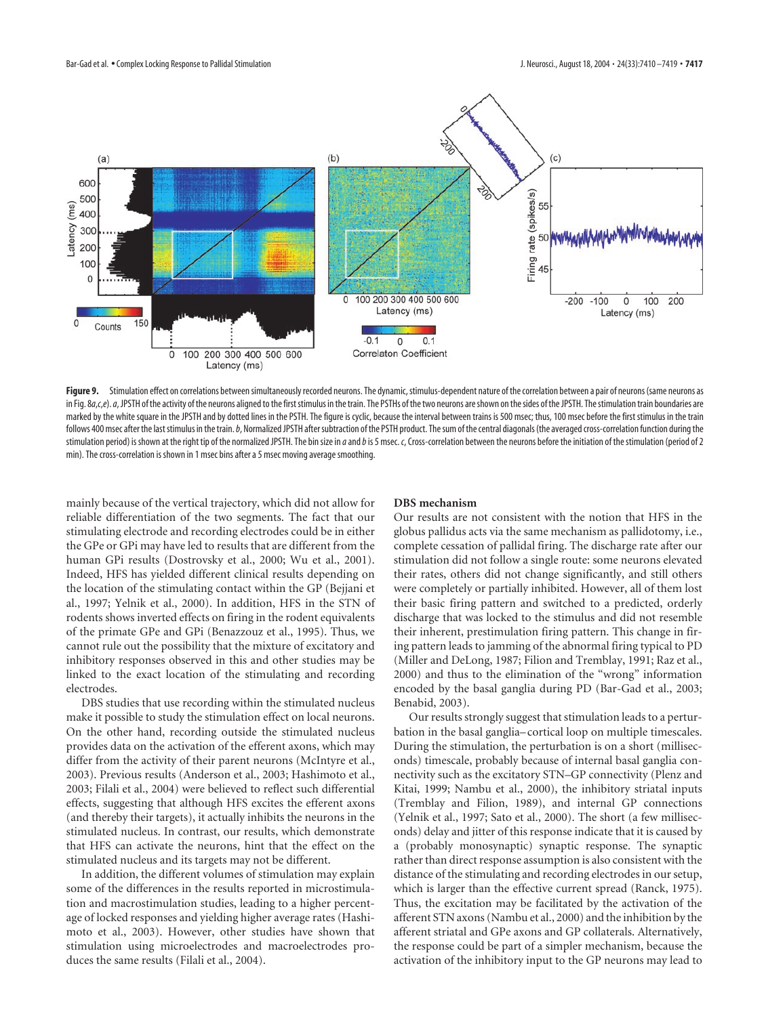

Figure 9. Stimulation effect on correlations between simultaneously recorded neurons. The dynamic, stimulus-dependent nature of the correlation between a pair of neurons (same neurons as in Fig. 8a,c,e). a, JPSTH of the activity of the neurons aligned to the first stimulus in the train. The PSTHs of the two neurons are shown on the sides of the JPSTH. The stimulation train boundaries are marked by the white square in the JPSTH and by dotted lines in the PSTH. The figure is cyclic, because the interval between trains is 500 msec; thus, 100 msec before the first stimulus in the train follows 400 msec after the last stimulus in the train. b, Normalized JPSTH after subtraction of the PSTH product. The sum of the central diagonals (the averaged cross-correlation function during the stimulation period) is shown at the right tip of the normalized JPSTH. The bin size in *a*and*b*is 5 msec. *c*, Cross-correlation between the neurons before the initiation of the stimulation (period of 2 min). The cross-correlation is shown in 1 msec bins after a 5 msec moving average smoothing.

mainly because of the vertical trajectory, which did not allow for reliable differentiation of the two segments. The fact that our stimulating electrode and recording electrodes could be in either the GPe or GPi may have led to results that are different from the human GPi results (Dostrovsky et al., 2000; Wu et al., 2001). Indeed, HFS has yielded different clinical results depending on the location of the stimulating contact within the GP (Bejjani et al., 1997; Yelnik et al., 2000). In addition, HFS in the STN of rodents shows inverted effects on firing in the rodent equivalents of the primate GPe and GPi (Benazzouz et al., 1995). Thus, we cannot rule out the possibility that the mixture of excitatory and inhibitory responses observed in this and other studies may be linked to the exact location of the stimulating and recording electrodes.

DBS studies that use recording within the stimulated nucleus make it possible to study the stimulation effect on local neurons. On the other hand, recording outside the stimulated nucleus provides data on the activation of the efferent axons, which may differ from the activity of their parent neurons (McIntyre et al., 2003). Previous results (Anderson et al., 2003; Hashimoto et al., 2003; Filali et al., 2004) were believed to reflect such differential effects, suggesting that although HFS excites the efferent axons (and thereby their targets), it actually inhibits the neurons in the stimulated nucleus. In contrast, our results, which demonstrate that HFS can activate the neurons, hint that the effect on the stimulated nucleus and its targets may not be different.

In addition, the different volumes of stimulation may explain some of the differences in the results reported in microstimulation and macrostimulation studies, leading to a higher percentage of locked responses and yielding higher average rates (Hashimoto et al., 2003). However, other studies have shown that stimulation using microelectrodes and macroelectrodes produces the same results (Filali et al., 2004).

## **DBS mechanism**

Our results are not consistent with the notion that HFS in the globus pallidus acts via the same mechanism as pallidotomy, i.e., complete cessation of pallidal firing. The discharge rate after our stimulation did not follow a single route: some neurons elevated their rates, others did not change significantly, and still others were completely or partially inhibited. However, all of them lost their basic firing pattern and switched to a predicted, orderly discharge that was locked to the stimulus and did not resemble their inherent, prestimulation firing pattern. This change in firing pattern leads to jamming of the abnormal firing typical to PD (Miller and DeLong, 1987; Filion and Tremblay, 1991; Raz et al., 2000) and thus to the elimination of the "wrong" information encoded by the basal ganglia during PD (Bar-Gad et al., 2003; Benabid, 2003).

Our results strongly suggest that stimulation leads to a perturbation in the basal ganglia–cortical loop on multiple timescales. During the stimulation, the perturbation is on a short (milliseconds) timescale, probably because of internal basal ganglia connectivity such as the excitatory STN–GP connectivity (Plenz and Kitai, 1999; Nambu et al., 2000), the inhibitory striatal inputs (Tremblay and Filion, 1989), and internal GP connections (Yelnik et al., 1997; Sato et al., 2000). The short (a few milliseconds) delay and jitter of this response indicate that it is caused by a (probably monosynaptic) synaptic response. The synaptic rather than direct response assumption is also consistent with the distance of the stimulating and recording electrodes in our setup, which is larger than the effective current spread (Ranck, 1975). Thus, the excitation may be facilitated by the activation of the afferent STN axons (Nambu et al., 2000) and the inhibition by the afferent striatal and GPe axons and GP collaterals. Alternatively, the response could be part of a simpler mechanism, because the activation of the inhibitory input to the GP neurons may lead to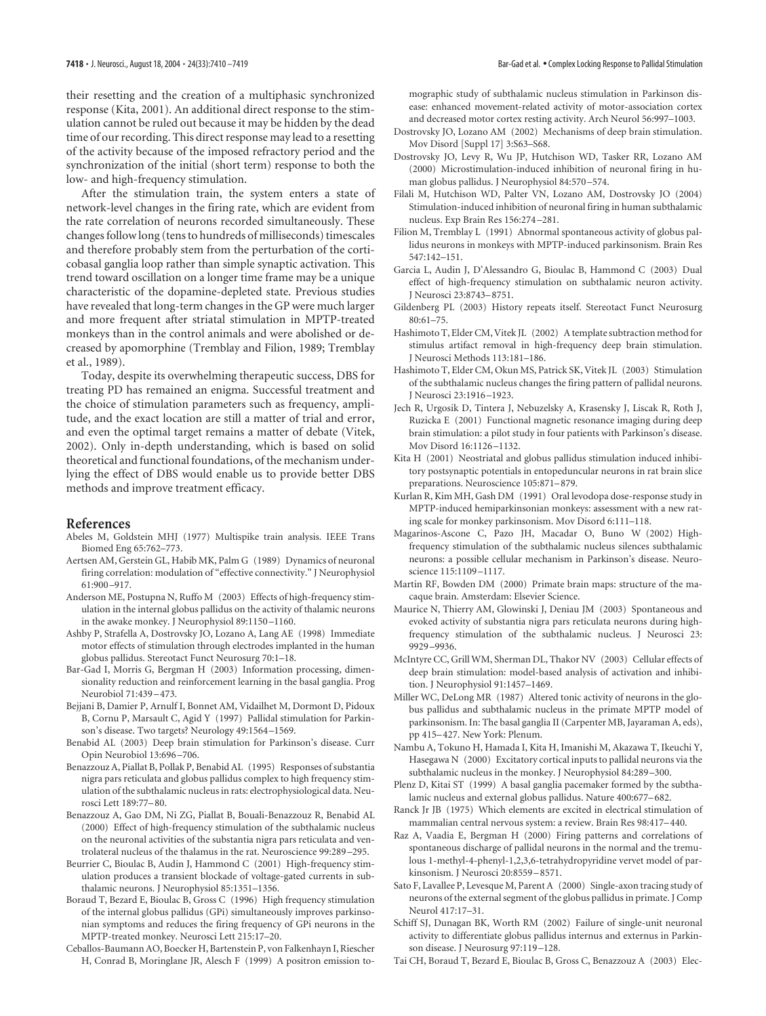their resetting and the creation of a multiphasic synchronized response (Kita, 2001). An additional direct response to the stimulation cannot be ruled out because it may be hidden by the dead time of our recording. This direct response may lead to a resetting of the activity because of the imposed refractory period and the synchronization of the initial (short term) response to both the low- and high-frequency stimulation.

After the stimulation train, the system enters a state of network-level changes in the firing rate, which are evident from the rate correlation of neurons recorded simultaneously. These changes follow long (tens to hundreds of milliseconds) timescales and therefore probably stem from the perturbation of the corticobasal ganglia loop rather than simple synaptic activation. This trend toward oscillation on a longer time frame may be a unique characteristic of the dopamine-depleted state. Previous studies have revealed that long-term changes in the GP were much larger and more frequent after striatal stimulation in MPTP-treated monkeys than in the control animals and were abolished or decreased by apomorphine (Tremblay and Filion, 1989; Tremblay et al., 1989).

Today, despite its overwhelming therapeutic success, DBS for treating PD has remained an enigma. Successful treatment and the choice of stimulation parameters such as frequency, amplitude, and the exact location are still a matter of trial and error, and even the optimal target remains a matter of debate (Vitek, 2002). Only in-depth understanding, which is based on solid theoretical and functional foundations, of the mechanism underlying the effect of DBS would enable us to provide better DBS methods and improve treatment efficacy.

#### **References**

- Abeles M, Goldstein MHJ (1977) Multispike train analysis. IEEE Trans Biomed Eng 65:762–773.
- Aertsen AM, Gerstein GL, Habib MK, Palm G (1989) Dynamics of neuronal firing correlation: modulation of "effective connectivity." J Neurophysiol 61:900–917.
- Anderson ME, Postupna N, Ruffo M (2003) Effects of high-frequency stimulation in the internal globus pallidus on the activity of thalamic neurons in the awake monkey. J Neurophysiol 89:1150–1160.
- Ashby P, Strafella A, Dostrovsky JO, Lozano A, Lang AE (1998) Immediate motor effects of stimulation through electrodes implanted in the human globus pallidus. Stereotact Funct Neurosurg 70:1–18.
- Bar-Gad I, Morris G, Bergman H (2003) Information processing, dimensionality reduction and reinforcement learning in the basal ganglia. Prog Neurobiol 71:439–473.
- Bejjani B, Damier P, Arnulf I, Bonnet AM, Vidailhet M, Dormont D, Pidoux B, Cornu P, Marsault C, Agid Y (1997) Pallidal stimulation for Parkinson's disease. Two targets? Neurology 49:1564–1569.
- Benabid AL (2003) Deep brain stimulation for Parkinson's disease. Curr Opin Neurobiol 13:696–706.
- Benazzouz A, Piallat B, Pollak P, Benabid AL (1995) Responses of substantia nigra pars reticulata and globus pallidus complex to high frequency stimulation of the subthalamic nucleus in rats: electrophysiological data. Neurosci Lett 189:77–80.
- Benazzouz A, Gao DM, Ni ZG, Piallat B, Bouali-Benazzouz R, Benabid AL (2000) Effect of high-frequency stimulation of the subthalamic nucleus on the neuronal activities of the substantia nigra pars reticulata and ventrolateral nucleus of the thalamus in the rat. Neuroscience 99:289–295.
- Beurrier C, Bioulac B, Audin J, Hammond C (2001) High-frequency stimulation produces a transient blockade of voltage-gated currents in subthalamic neurons. J Neurophysiol 85:1351–1356.
- Boraud T, Bezard E, Bioulac B, Gross C (1996) High frequency stimulation of the internal globus pallidus (GPi) simultaneously improves parkinsonian symptoms and reduces the firing frequency of GPi neurons in the MPTP-treated monkey. Neurosci Lett 215:17–20.
- Ceballos-Baumann AO, Boecker H, Bartenstein P, von Falkenhayn I, Riescher H, Conrad B, Moringlane JR, Alesch F (1999) A positron emission to-

mographic study of subthalamic nucleus stimulation in Parkinson disease: enhanced movement-related activity of motor-association cortex and decreased motor cortex resting activity. Arch Neurol 56:997–1003.

- Dostrovsky JO, Lozano AM (2002) Mechanisms of deep brain stimulation. Mov Disord [Suppl 17] 3:S63–S68.
- Dostrovsky JO, Levy R, Wu JP, Hutchison WD, Tasker RR, Lozano AM (2000) Microstimulation-induced inhibition of neuronal firing in human globus pallidus. J Neurophysiol 84:570–574.
- Filali M, Hutchison WD, Palter VN, Lozano AM, Dostrovsky JO (2004) Stimulation-induced inhibition of neuronal firing in human subthalamic nucleus. Exp Brain Res 156:274–281.
- Filion M, Tremblay L (1991) Abnormal spontaneous activity of globus pallidus neurons in monkeys with MPTP-induced parkinsonism. Brain Res 547:142–151.
- Garcia L, Audin J, D'Alessandro G, Bioulac B, Hammond C (2003) Dual effect of high-frequency stimulation on subthalamic neuron activity. J Neurosci 23:8743–8751.
- Gildenberg PL (2003) History repeats itself. Stereotact Funct Neurosurg 80:61–75.
- Hashimoto T, Elder CM, Vitek JL (2002) A template subtraction method for stimulus artifact removal in high-frequency deep brain stimulation. J Neurosci Methods 113:181–186.
- Hashimoto T, Elder CM, Okun MS, Patrick SK, Vitek JL (2003) Stimulation of the subthalamic nucleus changes the firing pattern of pallidal neurons. J Neurosci 23:1916–1923.
- Jech R, Urgosik D, Tintera J, Nebuzelsky A, Krasensky J, Liscak R, Roth J, Ruzicka E (2001) Functional magnetic resonance imaging during deep brain stimulation: a pilot study in four patients with Parkinson's disease. Mov Disord 16:1126–1132.
- Kita H (2001) Neostriatal and globus pallidus stimulation induced inhibitory postsynaptic potentials in entopeduncular neurons in rat brain slice preparations. Neuroscience 105:871–879.
- Kurlan R, Kim MH, Gash DM (1991) Oral levodopa dose-response study in MPTP-induced hemiparkinsonian monkeys: assessment with a new rating scale for monkey parkinsonism. Mov Disord 6:111–118.
- Magarinos-Ascone C, Pazo JH, Macadar O, Buno W (2002) Highfrequency stimulation of the subthalamic nucleus silences subthalamic neurons: a possible cellular mechanism in Parkinson's disease. Neuroscience 115:1109–1117.
- Martin RF, Bowden DM (2000) Primate brain maps: structure of the macaque brain. Amsterdam: Elsevier Science.
- Maurice N, Thierry AM, Glowinski J, Deniau JM (2003) Spontaneous and evoked activity of substantia nigra pars reticulata neurons during highfrequency stimulation of the subthalamic nucleus. J Neurosci 23: 9929–9936.
- McIntyre CC, Grill WM, Sherman DL, Thakor NV (2003) Cellular effects of deep brain stimulation: model-based analysis of activation and inhibition. J Neurophysiol 91:1457–1469.
- Miller WC, DeLong MR (1987) Altered tonic activity of neurons in the globus pallidus and subthalamic nucleus in the primate MPTP model of parkinsonism. In: The basal ganglia II (Carpenter MB, Jayaraman A, eds), pp 415–427. New York: Plenum.
- Nambu A, Tokuno H, Hamada I, Kita H, Imanishi M, Akazawa T, Ikeuchi Y, Hasegawa N (2000) Excitatory cortical inputs to pallidal neurons via the subthalamic nucleus in the monkey. J Neurophysiol 84:289–300.
- Plenz D, Kitai ST (1999) A basal ganglia pacemaker formed by the subthalamic nucleus and external globus pallidus. Nature 400:677–682.
- Ranck Jr JB (1975) Which elements are excited in electrical stimulation of mammalian central nervous system: a review. Brain Res 98:417–440.
- Raz A, Vaadia E, Bergman H (2000) Firing patterns and correlations of spontaneous discharge of pallidal neurons in the normal and the tremulous 1-methyl-4-phenyl-1,2,3,6-tetrahydropyridine vervet model of parkinsonism. J Neurosci 20:8559–8571.
- Sato F, Lavallee P, Levesque M, Parent A (2000) Single-axon tracing study of neurons of the external segment of the globus pallidus in primate. J Comp Neurol 417:17–31.
- Schiff SJ, Dunagan BK, Worth RM (2002) Failure of single-unit neuronal activity to differentiate globus pallidus internus and externus in Parkinson disease. J Neurosurg 97:119–128.
- Tai CH, Boraud T, Bezard E, Bioulac B, Gross C, Benazzouz A (2003) Elec-